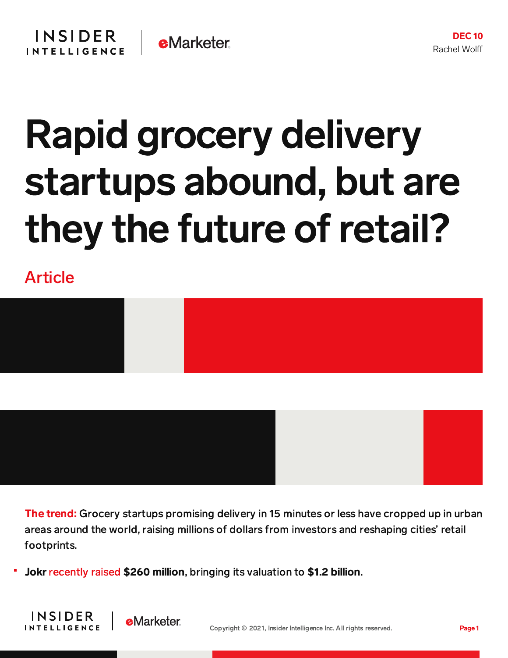## Rapid grocery delivery startups abound, but are they the future of retail?

Article

INSIDER

**INTELLIGENCE** 



The trend: Grocery startups promising delivery in 15 minutes or less have cropped up in urban areas around the world, raising millions of dollars from investors and reshaping cities' retail footprints.

Jokr [recently](https://www.pymnts.com/news/investment-tracker/2021/express-delivery-startup-jokr-raises-260-million-dollars-1-billion-dollar-valuation/) raised \$260 million, bringing its valuation to \$1.2 billion.

**eMarketer**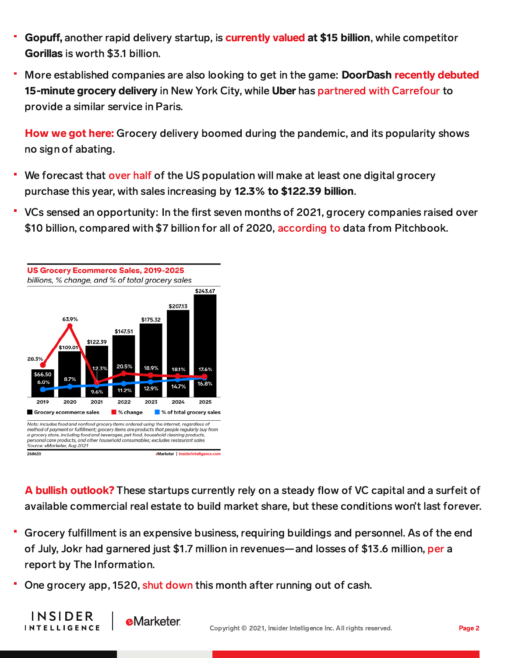- Gopuff, another rapid delivery startup, is [currently](https://www.businessinsider.com/gopuffs-valuation-reaches-15-billion-with-1-billion-funding-round-2021-7#:~:text=Delivery%20unicorn%20Gopuff,%20now%20valued,and%20hiring%20of%20top%20talent) valued at \$15 billion, while competitor Gorillas is worth \$3.1 billion.
- More established companies are also looking to get in the game: DoorDash recently [debuted](https://www.businessinsider.com/inside-new-york-citys-6-ultrafast-grocery-delivery-operators-2021-10) 15-minute grocery delivery in New York City, while Uber has [partnered](https://content-na1.emarketer.com/uber-bringing-15-minute-grocery-delivery-paris-us-market-slows-down) with Carrefour to provide a similar service in Paris.

How we got here: Grocery delivery boomed during the pandemic, and its popularity shows no sign of abating.

- We forecast that [over](https://content-na1.emarketer.com/us-digital-grocery-forecast-2021) half of the US population will make at least one digital grocery purchase this year, with sales increasing by 12.3% to \$122.39 billion.
- VCs sensed an opportunity: In the first seven months of 2021, grocery companies raised over \$10 billion, compared with \$7 billion for all of 2020, [according](https://www.cnbc.com/2021/07/02/grocery-startups-vc.html) to data from Pitchbook.



**INSIDER** 

**INTELLIGENCE** 

A bullish outlook? These startups currently rely on a steady flow of VC capital and a surfeit of available commercial real estate to build market share, but these conditions won't last forever.

- Grocery fulfillment is an expensive business, requiring buildings and personnel. As of the end of July, Jokr had garnered just \$1.7 million in revenues—and losses of \$13.6 million, [per](https://www.theinformation.com/articles/heavy-losses-big-funding-instant-delivery-startups-battle-for-customers?rc=2ahtrk) a report by The Information.
- One grocery app, 1520, shut [down](https://www.businessinsider.com/1520-ultrafast-grocery-delivery-service-shuts-down-2021-12) this month after running out of cash.

**eMarketer**